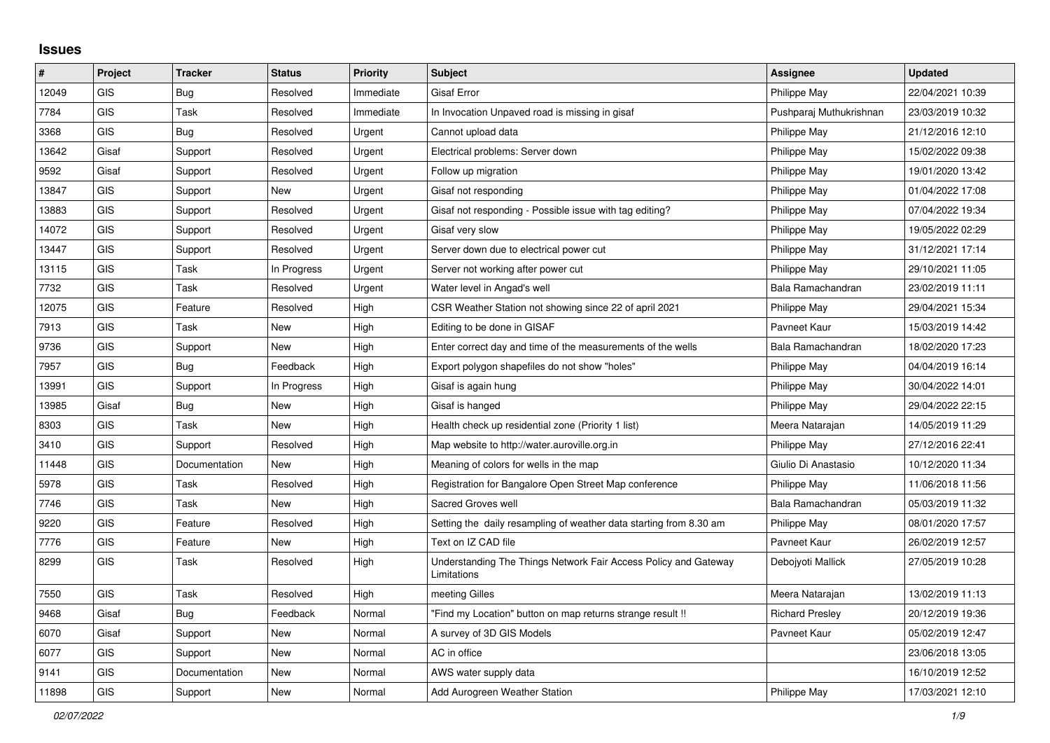## **Issues**

| $\vert$ # | Project    | <b>Tracker</b> | <b>Status</b> | <b>Priority</b> | <b>Subject</b>                                                                 | Assignee                | <b>Updated</b>   |
|-----------|------------|----------------|---------------|-----------------|--------------------------------------------------------------------------------|-------------------------|------------------|
| 12049     | GIS        | <b>Bug</b>     | Resolved      | Immediate       | <b>Gisaf Error</b>                                                             | Philippe May            | 22/04/2021 10:39 |
| 7784      | <b>GIS</b> | Task           | Resolved      | Immediate       | In Invocation Unpaved road is missing in gisaf                                 | Pushparaj Muthukrishnan | 23/03/2019 10:32 |
| 3368      | <b>GIS</b> | <b>Bug</b>     | Resolved      | Urgent          | Cannot upload data                                                             | Philippe May            | 21/12/2016 12:10 |
| 13642     | Gisaf      | Support        | Resolved      | Urgent          | Electrical problems: Server down                                               | Philippe May            | 15/02/2022 09:38 |
| 9592      | Gisaf      | Support        | Resolved      | Urgent          | Follow up migration                                                            | Philippe May            | 19/01/2020 13:42 |
| 13847     | GIS        | Support        | <b>New</b>    | Urgent          | Gisaf not responding                                                           | Philippe May            | 01/04/2022 17:08 |
| 13883     | <b>GIS</b> | Support        | Resolved      | Urgent          | Gisaf not responding - Possible issue with tag editing?                        | Philippe May            | 07/04/2022 19:34 |
| 14072     | GIS        | Support        | Resolved      | Urgent          | Gisaf very slow                                                                | Philippe May            | 19/05/2022 02:29 |
| 13447     | GIS        | Support        | Resolved      | Urgent          | Server down due to electrical power cut                                        | Philippe May            | 31/12/2021 17:14 |
| 13115     | <b>GIS</b> | Task           | In Progress   | Urgent          | Server not working after power cut                                             | Philippe May            | 29/10/2021 11:05 |
| 7732      | <b>GIS</b> | Task           | Resolved      | Urgent          | Water level in Angad's well                                                    | Bala Ramachandran       | 23/02/2019 11:11 |
| 12075     | <b>GIS</b> | Feature        | Resolved      | High            | CSR Weather Station not showing since 22 of april 2021                         | Philippe May            | 29/04/2021 15:34 |
| 7913      | <b>GIS</b> | Task           | <b>New</b>    | High            | Editing to be done in GISAF                                                    | Pavneet Kaur            | 15/03/2019 14:42 |
| 9736      | GIS        | Support        | <b>New</b>    | High            | Enter correct day and time of the measurements of the wells                    | Bala Ramachandran       | 18/02/2020 17:23 |
| 7957      | <b>GIS</b> | Bug            | Feedback      | High            | Export polygon shapefiles do not show "holes"                                  | <b>Philippe May</b>     | 04/04/2019 16:14 |
| 13991     | GIS        | Support        | In Progress   | High            | Gisaf is again hung                                                            | Philippe May            | 30/04/2022 14:01 |
| 13985     | Gisaf      | <b>Bug</b>     | <b>New</b>    | High            | Gisaf is hanged                                                                | Philippe May            | 29/04/2022 22:15 |
| 8303      | <b>GIS</b> | <b>Task</b>    | <b>New</b>    | High            | Health check up residential zone (Priority 1 list)                             | Meera Natarajan         | 14/05/2019 11:29 |
| 3410      | GIS        | Support        | Resolved      | High            | Map website to http://water.auroville.org.in                                   | Philippe May            | 27/12/2016 22:41 |
| 11448     | <b>GIS</b> | Documentation  | New           | High            | Meaning of colors for wells in the map                                         | Giulio Di Anastasio     | 10/12/2020 11:34 |
| 5978      | <b>GIS</b> | <b>Task</b>    | Resolved      | High            | Registration for Bangalore Open Street Map conference                          | Philippe May            | 11/06/2018 11:56 |
| 7746      | <b>GIS</b> | <b>Task</b>    | <b>New</b>    | High            | Sacred Groves well                                                             | Bala Ramachandran       | 05/03/2019 11:32 |
| 9220      | <b>GIS</b> | Feature        | Resolved      | High            | Setting the daily resampling of weather data starting from 8.30 am             | Philippe May            | 08/01/2020 17:57 |
| 7776      | GIS        | Feature        | <b>New</b>    | High            | Text on IZ CAD file                                                            | Pavneet Kaur            | 26/02/2019 12:57 |
| 8299      | <b>GIS</b> | Task           | Resolved      | High            | Understanding The Things Network Fair Access Policy and Gateway<br>Limitations | Debojyoti Mallick       | 27/05/2019 10:28 |
| 7550      | <b>GIS</b> | Task           | Resolved      | High            | meeting Gilles                                                                 | Meera Natarajan         | 13/02/2019 11:13 |
| 9468      | Gisaf      | Bug            | Feedback      | Normal          | 'Find my Location" button on map returns strange result !!                     | <b>Richard Presley</b>  | 20/12/2019 19:36 |
| 6070      | Gisaf      | Support        | New           | Normal          | A survey of 3D GIS Models                                                      | Pavneet Kaur            | 05/02/2019 12:47 |
| 6077      | <b>GIS</b> | Support        | New           | Normal          | AC in office                                                                   |                         | 23/06/2018 13:05 |
| 9141      | GIS        | Documentation  | New           | Normal          | AWS water supply data                                                          |                         | 16/10/2019 12:52 |
| 11898     | GIS        | Support        | <b>New</b>    | Normal          | Add Aurogreen Weather Station                                                  | <b>Philippe May</b>     | 17/03/2021 12:10 |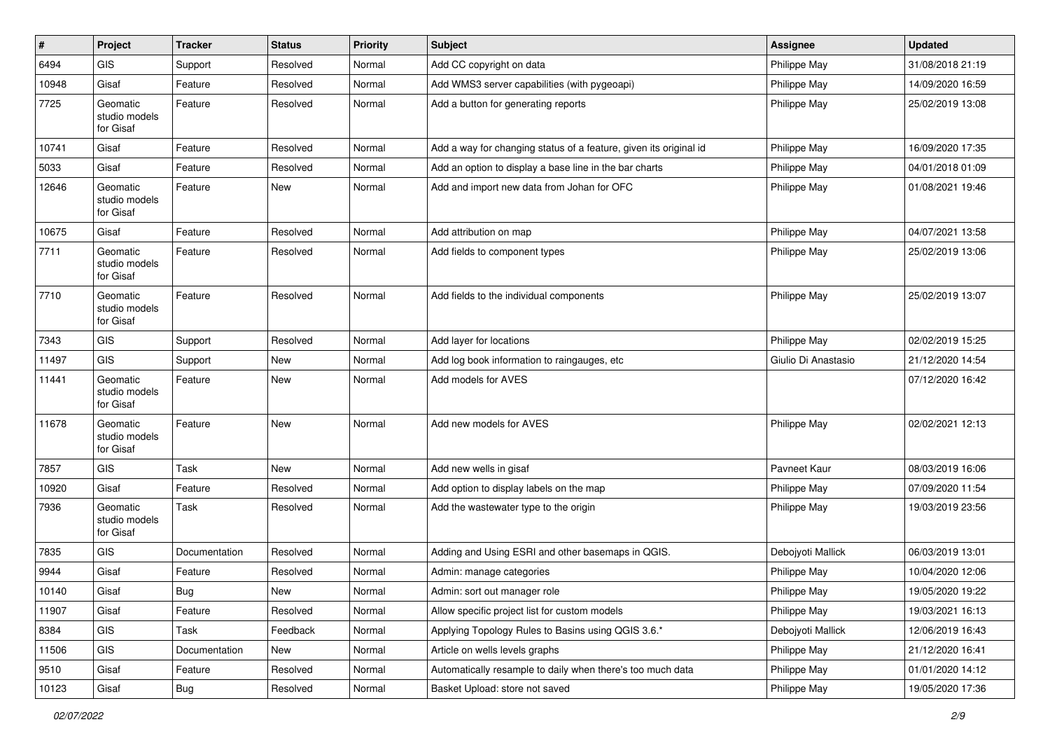| $\#$  | Project                                | <b>Tracker</b> | <b>Status</b> | Priority | <b>Subject</b>                                                    | Assignee            | <b>Updated</b>   |
|-------|----------------------------------------|----------------|---------------|----------|-------------------------------------------------------------------|---------------------|------------------|
| 6494  | <b>GIS</b>                             | Support        | Resolved      | Normal   | Add CC copyright on data                                          | Philippe May        | 31/08/2018 21:19 |
| 10948 | Gisaf                                  | Feature        | Resolved      | Normal   | Add WMS3 server capabilities (with pygeoapi)                      | Philippe May        | 14/09/2020 16:59 |
| 7725  | Geomatic<br>studio models<br>for Gisaf | Feature        | Resolved      | Normal   | Add a button for generating reports                               | Philippe May        | 25/02/2019 13:08 |
| 10741 | Gisaf                                  | Feature        | Resolved      | Normal   | Add a way for changing status of a feature, given its original id | Philippe May        | 16/09/2020 17:35 |
| 5033  | Gisaf                                  | Feature        | Resolved      | Normal   | Add an option to display a base line in the bar charts            | Philippe May        | 04/01/2018 01:09 |
| 12646 | Geomatic<br>studio models<br>for Gisaf | Feature        | New           | Normal   | Add and import new data from Johan for OFC                        | Philippe May        | 01/08/2021 19:46 |
| 10675 | Gisaf                                  | Feature        | Resolved      | Normal   | Add attribution on map                                            | Philippe May        | 04/07/2021 13:58 |
| 7711  | Geomatic<br>studio models<br>for Gisaf | Feature        | Resolved      | Normal   | Add fields to component types                                     | Philippe May        | 25/02/2019 13:06 |
| 7710  | Geomatic<br>studio models<br>for Gisaf | Feature        | Resolved      | Normal   | Add fields to the individual components                           | Philippe May        | 25/02/2019 13:07 |
| 7343  | <b>GIS</b>                             | Support        | Resolved      | Normal   | Add layer for locations                                           | Philippe May        | 02/02/2019 15:25 |
| 11497 | <b>GIS</b>                             | Support        | <b>New</b>    | Normal   | Add log book information to raingauges, etc                       | Giulio Di Anastasio | 21/12/2020 14:54 |
| 11441 | Geomatic<br>studio models<br>for Gisaf | Feature        | New           | Normal   | Add models for AVES                                               |                     | 07/12/2020 16:42 |
| 11678 | Geomatic<br>studio models<br>for Gisaf | Feature        | New           | Normal   | Add new models for AVES                                           | Philippe May        | 02/02/2021 12:13 |
| 7857  | <b>GIS</b>                             | Task           | <b>New</b>    | Normal   | Add new wells in gisaf                                            | Pavneet Kaur        | 08/03/2019 16:06 |
| 10920 | Gisaf                                  | Feature        | Resolved      | Normal   | Add option to display labels on the map                           | Philippe May        | 07/09/2020 11:54 |
| 7936  | Geomatic<br>studio models<br>for Gisaf | Task           | Resolved      | Normal   | Add the wastewater type to the origin                             | Philippe May        | 19/03/2019 23:56 |
| 7835  | <b>GIS</b>                             | Documentation  | Resolved      | Normal   | Adding and Using ESRI and other basemaps in QGIS.                 | Debojyoti Mallick   | 06/03/2019 13:01 |
| 9944  | Gisaf                                  | Feature        | Resolved      | Normal   | Admin: manage categories                                          | Philippe May        | 10/04/2020 12:06 |
| 10140 | Gisaf                                  | Bug            | New           | Normal   | Admin: sort out manager role                                      | Philippe May        | 19/05/2020 19:22 |
| 11907 | Gisaf                                  | Feature        | Resolved      | Normal   | Allow specific project list for custom models                     | Philippe May        | 19/03/2021 16:13 |
| 8384  | GIS                                    | Task           | Feedback      | Normal   | Applying Topology Rules to Basins using QGIS 3.6.*                | Debojyoti Mallick   | 12/06/2019 16:43 |
| 11506 | GIS                                    | Documentation  | New           | Normal   | Article on wells levels graphs                                    | Philippe May        | 21/12/2020 16:41 |
| 9510  | Gisaf                                  | Feature        | Resolved      | Normal   | Automatically resample to daily when there's too much data        | Philippe May        | 01/01/2020 14:12 |
| 10123 | Gisaf                                  | <b>Bug</b>     | Resolved      | Normal   | Basket Upload: store not saved                                    | Philippe May        | 19/05/2020 17:36 |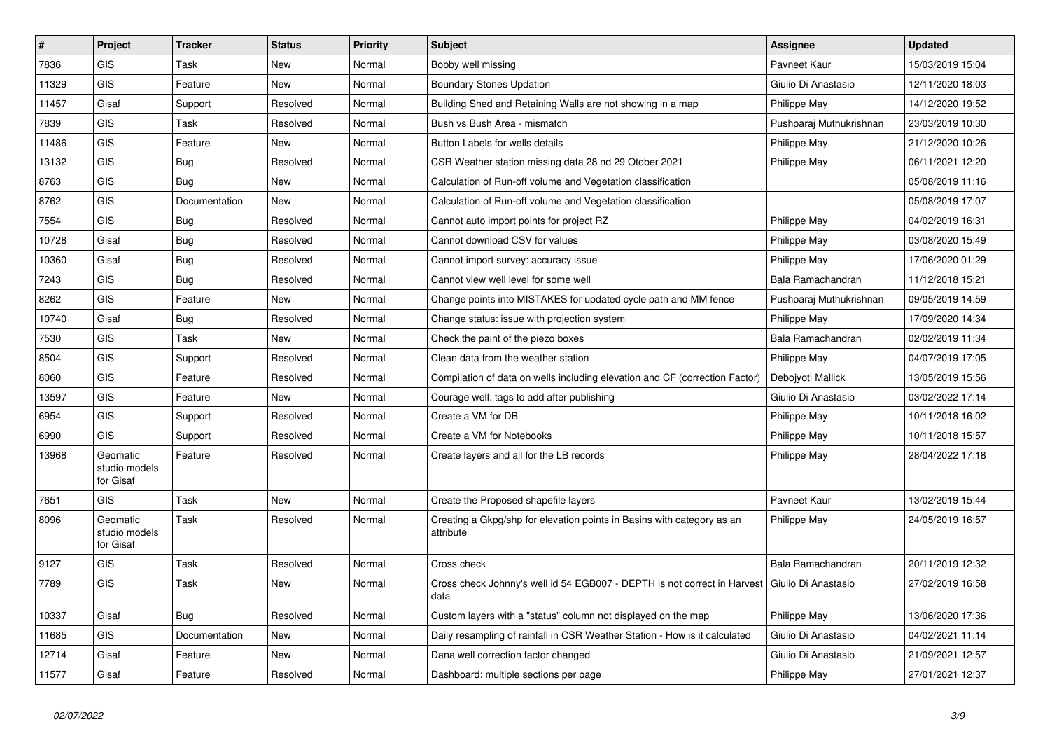| #     | Project                                | <b>Tracker</b> | <b>Status</b> | Priority | <b>Subject</b>                                                                      | <b>Assignee</b>         | <b>Updated</b>   |
|-------|----------------------------------------|----------------|---------------|----------|-------------------------------------------------------------------------------------|-------------------------|------------------|
| 7836  | GIS                                    | Task           | <b>New</b>    | Normal   | Bobby well missing                                                                  | Pavneet Kaur            | 15/03/2019 15:04 |
| 11329 | <b>GIS</b>                             | Feature        | <b>New</b>    | Normal   | <b>Boundary Stones Updation</b>                                                     | Giulio Di Anastasio     | 12/11/2020 18:03 |
| 11457 | Gisaf                                  | Support        | Resolved      | Normal   | Building Shed and Retaining Walls are not showing in a map                          | Philippe May            | 14/12/2020 19:52 |
| 7839  | <b>GIS</b>                             | Task           | Resolved      | Normal   | Bush vs Bush Area - mismatch                                                        | Pushparaj Muthukrishnan | 23/03/2019 10:30 |
| 11486 | <b>GIS</b>                             | Feature        | <b>New</b>    | Normal   | Button Labels for wells details                                                     | Philippe May            | 21/12/2020 10:26 |
| 13132 | <b>GIS</b>                             | Bug            | Resolved      | Normal   | CSR Weather station missing data 28 nd 29 Otober 2021                               | Philippe May            | 06/11/2021 12:20 |
| 8763  | <b>GIS</b>                             | Bug            | <b>New</b>    | Normal   | Calculation of Run-off volume and Vegetation classification                         |                         | 05/08/2019 11:16 |
| 8762  | <b>GIS</b>                             | Documentation  | <b>New</b>    | Normal   | Calculation of Run-off volume and Vegetation classification                         |                         | 05/08/2019 17:07 |
| 7554  | <b>GIS</b>                             | <b>Bug</b>     | Resolved      | Normal   | Cannot auto import points for project RZ                                            | Philippe May            | 04/02/2019 16:31 |
| 10728 | Gisaf                                  | Bug            | Resolved      | Normal   | Cannot download CSV for values                                                      | Philippe May            | 03/08/2020 15:49 |
| 10360 | Gisaf                                  | Bug            | Resolved      | Normal   | Cannot import survey: accuracy issue                                                | Philippe May            | 17/06/2020 01:29 |
| 7243  | <b>GIS</b>                             | Bug            | Resolved      | Normal   | Cannot view well level for some well                                                | Bala Ramachandran       | 11/12/2018 15:21 |
| 8262  | <b>GIS</b>                             | Feature        | <b>New</b>    | Normal   | Change points into MISTAKES for updated cycle path and MM fence                     | Pushparaj Muthukrishnan | 09/05/2019 14:59 |
| 10740 | Gisaf                                  | Bug            | Resolved      | Normal   | Change status: issue with projection system                                         | Philippe May            | 17/09/2020 14:34 |
| 7530  | <b>GIS</b>                             | Task           | <b>New</b>    | Normal   | Check the paint of the piezo boxes                                                  | Bala Ramachandran       | 02/02/2019 11:34 |
| 8504  | <b>GIS</b>                             | Support        | Resolved      | Normal   | Clean data from the weather station                                                 | Philippe May            | 04/07/2019 17:05 |
| 8060  | <b>GIS</b>                             | Feature        | Resolved      | Normal   | Compilation of data on wells including elevation and CF (correction Factor)         | Debojyoti Mallick       | 13/05/2019 15:56 |
| 13597 | <b>GIS</b>                             | Feature        | <b>New</b>    | Normal   | Courage well: tags to add after publishing                                          | Giulio Di Anastasio     | 03/02/2022 17:14 |
| 6954  | <b>GIS</b>                             | Support        | Resolved      | Normal   | Create a VM for DB                                                                  | Philippe May            | 10/11/2018 16:02 |
| 6990  | <b>GIS</b>                             | Support        | Resolved      | Normal   | Create a VM for Notebooks                                                           | Philippe May            | 10/11/2018 15:57 |
| 13968 | Geomatic<br>studio models<br>for Gisaf | Feature        | Resolved      | Normal   | Create layers and all for the LB records                                            | Philippe May            | 28/04/2022 17:18 |
| 7651  | <b>GIS</b>                             | Task           | New           | Normal   | Create the Proposed shapefile layers                                                | Pavneet Kaur            | 13/02/2019 15:44 |
| 8096  | Geomatic<br>studio models<br>for Gisaf | Task           | Resolved      | Normal   | Creating a Gkpg/shp for elevation points in Basins with category as an<br>attribute | Philippe May            | 24/05/2019 16:57 |
| 9127  | GIS                                    | Task           | Resolved      | Normal   | Cross check                                                                         | Bala Ramachandran       | 20/11/2019 12:32 |
| 7789  | <b>GIS</b>                             | Task           | <b>New</b>    | Normal   | Cross check Johnny's well id 54 EGB007 - DEPTH is not correct in Harvest<br>data    | l Giulio Di Anastasio   | 27/02/2019 16:58 |
| 10337 | Gisaf                                  | Bug            | Resolved      | Normal   | Custom layers with a "status" column not displayed on the map                       | Philippe May            | 13/06/2020 17:36 |
| 11685 | <b>GIS</b>                             | Documentation  | <b>New</b>    | Normal   | Daily resampling of rainfall in CSR Weather Station - How is it calculated          | Giulio Di Anastasio     | 04/02/2021 11:14 |
| 12714 | Gisaf                                  | Feature        | <b>New</b>    | Normal   | Dana well correction factor changed                                                 | Giulio Di Anastasio     | 21/09/2021 12:57 |
| 11577 | Gisaf                                  | Feature        | Resolved      | Normal   | Dashboard: multiple sections per page                                               | Philippe May            | 27/01/2021 12:37 |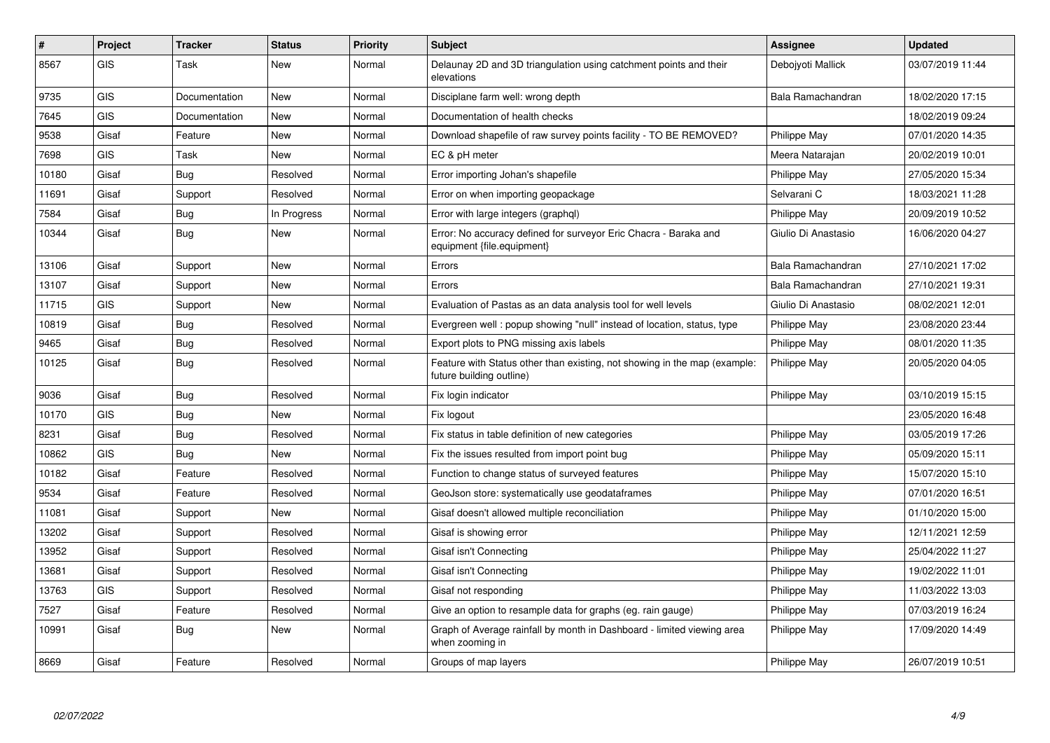| $\#$  | Project    | <b>Tracker</b> | <b>Status</b> | <b>Priority</b> | <b>Subject</b>                                                                                        | <b>Assignee</b>     | <b>Updated</b>   |
|-------|------------|----------------|---------------|-----------------|-------------------------------------------------------------------------------------------------------|---------------------|------------------|
| 8567  | <b>GIS</b> | Task           | <b>New</b>    | Normal          | Delaunay 2D and 3D triangulation using catchment points and their<br>elevations                       | Debojyoti Mallick   | 03/07/2019 11:44 |
| 9735  | <b>GIS</b> | Documentation  | <b>New</b>    | Normal          | Disciplane farm well: wrong depth                                                                     | Bala Ramachandran   | 18/02/2020 17:15 |
| 7645  | <b>GIS</b> | Documentation  | <b>New</b>    | Normal          | Documentation of health checks                                                                        |                     | 18/02/2019 09:24 |
| 9538  | Gisaf      | Feature        | <b>New</b>    | Normal          | Download shapefile of raw survey points facility - TO BE REMOVED?                                     | Philippe May        | 07/01/2020 14:35 |
| 7698  | <b>GIS</b> | Task           | New           | Normal          | EC & pH meter                                                                                         | Meera Natarajan     | 20/02/2019 10:01 |
| 10180 | Gisaf      | Bug            | Resolved      | Normal          | Error importing Johan's shapefile                                                                     | Philippe May        | 27/05/2020 15:34 |
| 11691 | Gisaf      | Support        | Resolved      | Normal          | Error on when importing geopackage                                                                    | Selvarani C         | 18/03/2021 11:28 |
| 7584  | Gisaf      | <b>Bug</b>     | In Progress   | Normal          | Error with large integers (graphql)                                                                   | <b>Philippe May</b> | 20/09/2019 10:52 |
| 10344 | Gisaf      | Bug            | New           | Normal          | Error: No accuracy defined for surveyor Eric Chacra - Baraka and<br>equipment {file.equipment}        | Giulio Di Anastasio | 16/06/2020 04:27 |
| 13106 | Gisaf      | Support        | <b>New</b>    | Normal          | Errors                                                                                                | Bala Ramachandran   | 27/10/2021 17:02 |
| 13107 | Gisaf      | Support        | <b>New</b>    | Normal          | Errors                                                                                                | Bala Ramachandran   | 27/10/2021 19:31 |
| 11715 | <b>GIS</b> | Support        | <b>New</b>    | Normal          | Evaluation of Pastas as an data analysis tool for well levels                                         | Giulio Di Anastasio | 08/02/2021 12:01 |
| 10819 | Gisaf      | Bug            | Resolved      | Normal          | Evergreen well : popup showing "null" instead of location, status, type                               | Philippe May        | 23/08/2020 23:44 |
| 9465  | Gisaf      | Bug            | Resolved      | Normal          | Export plots to PNG missing axis labels                                                               | Philippe May        | 08/01/2020 11:35 |
| 10125 | Gisaf      | Bug            | Resolved      | Normal          | Feature with Status other than existing, not showing in the map (example:<br>future building outline) | Philippe May        | 20/05/2020 04:05 |
| 9036  | Gisaf      | <b>Bug</b>     | Resolved      | Normal          | Fix login indicator                                                                                   | Philippe May        | 03/10/2019 15:15 |
| 10170 | <b>GIS</b> | Bug            | <b>New</b>    | Normal          | Fix logout                                                                                            |                     | 23/05/2020 16:48 |
| 8231  | Gisaf      | Bug            | Resolved      | Normal          | Fix status in table definition of new categories                                                      | Philippe May        | 03/05/2019 17:26 |
| 10862 | <b>GIS</b> | Bug            | <b>New</b>    | Normal          | Fix the issues resulted from import point bug                                                         | Philippe May        | 05/09/2020 15:11 |
| 10182 | Gisaf      | Feature        | Resolved      | Normal          | Function to change status of surveyed features                                                        | Philippe May        | 15/07/2020 15:10 |
| 9534  | Gisaf      | Feature        | Resolved      | Normal          | GeoJson store: systematically use geodataframes                                                       | Philippe May        | 07/01/2020 16:51 |
| 11081 | Gisaf      | Support        | New           | Normal          | Gisaf doesn't allowed multiple reconciliation                                                         | <b>Philippe May</b> | 01/10/2020 15:00 |
| 13202 | Gisaf      | Support        | Resolved      | Normal          | Gisaf is showing error                                                                                | Philippe May        | 12/11/2021 12:59 |
| 13952 | Gisaf      | Support        | Resolved      | Normal          | Gisaf isn't Connecting                                                                                | <b>Philippe May</b> | 25/04/2022 11:27 |
| 13681 | Gisaf      | Support        | Resolved      | Normal          | Gisaf isn't Connecting                                                                                | Philippe May        | 19/02/2022 11:01 |
| 13763 | <b>GIS</b> | Support        | Resolved      | Normal          | Gisaf not responding                                                                                  | Philippe May        | 11/03/2022 13:03 |
| 7527  | Gisaf      | Feature        | Resolved      | Normal          | Give an option to resample data for graphs (eg. rain gauge)                                           | Philippe May        | 07/03/2019 16:24 |
| 10991 | Gisaf      | Bug            | New           | Normal          | Graph of Average rainfall by month in Dashboard - limited viewing area<br>when zooming in             | Philippe May        | 17/09/2020 14:49 |
| 8669  | Gisaf      | Feature        | Resolved      | Normal          | Groups of map layers                                                                                  | Philippe May        | 26/07/2019 10:51 |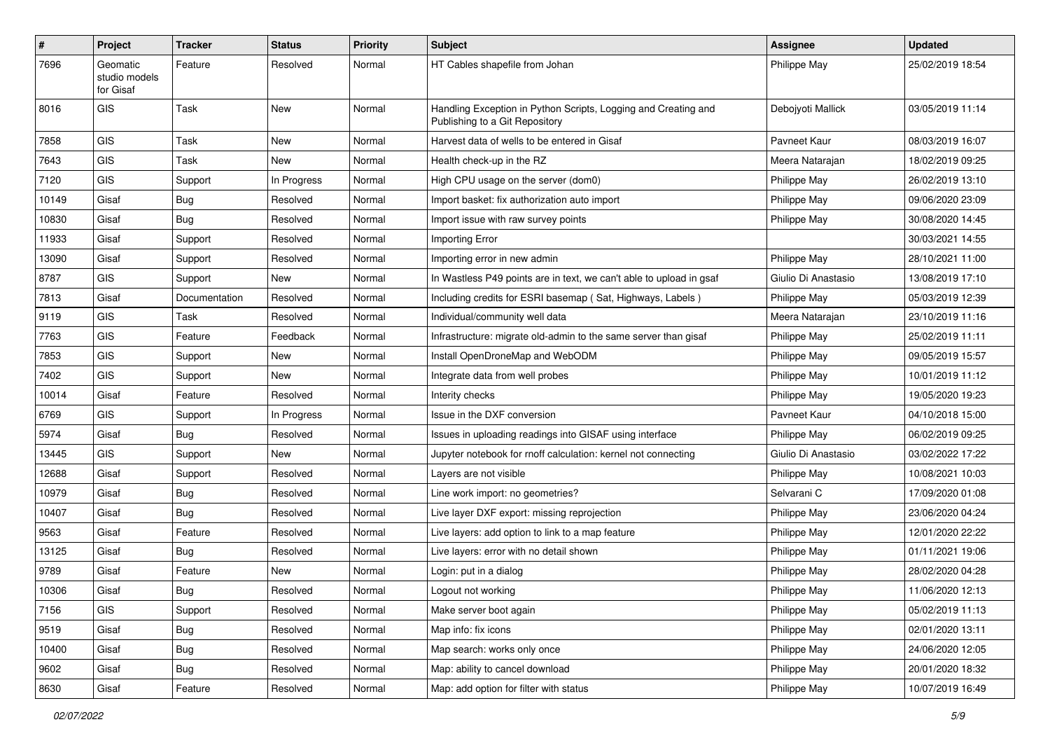| #     | <b>Project</b>                         | <b>Tracker</b> | <b>Status</b> | <b>Priority</b> | <b>Subject</b>                                                                                   | <b>Assignee</b>     | <b>Updated</b>   |
|-------|----------------------------------------|----------------|---------------|-----------------|--------------------------------------------------------------------------------------------------|---------------------|------------------|
| 7696  | Geomatic<br>studio models<br>for Gisaf | Feature        | Resolved      | Normal          | HT Cables shapefile from Johan                                                                   | Philippe May        | 25/02/2019 18:54 |
| 8016  | GIS                                    | Task           | New           | Normal          | Handling Exception in Python Scripts, Logging and Creating and<br>Publishing to a Git Repository | Debojyoti Mallick   | 03/05/2019 11:14 |
| 7858  | <b>GIS</b>                             | Task           | New           | Normal          | Harvest data of wells to be entered in Gisaf                                                     | Pavneet Kaur        | 08/03/2019 16:07 |
| 7643  | <b>GIS</b>                             | Task           | <b>New</b>    | Normal          | Health check-up in the RZ                                                                        | Meera Natarajan     | 18/02/2019 09:25 |
| 7120  | GIS                                    | Support        | In Progress   | Normal          | High CPU usage on the server (dom0)                                                              | Philippe May        | 26/02/2019 13:10 |
| 10149 | Gisaf                                  | <b>Bug</b>     | Resolved      | Normal          | Import basket: fix authorization auto import                                                     | Philippe May        | 09/06/2020 23:09 |
| 10830 | Gisaf                                  | Bug            | Resolved      | Normal          | Import issue with raw survey points                                                              | Philippe May        | 30/08/2020 14:45 |
| 11933 | Gisaf                                  | Support        | Resolved      | Normal          | Importing Error                                                                                  |                     | 30/03/2021 14:55 |
| 13090 | Gisaf                                  | Support        | Resolved      | Normal          | Importing error in new admin                                                                     | Philippe May        | 28/10/2021 11:00 |
| 8787  | <b>GIS</b>                             | Support        | New           | Normal          | In Wastless P49 points are in text, we can't able to upload in gsaf                              | Giulio Di Anastasio | 13/08/2019 17:10 |
| 7813  | Gisaf                                  | Documentation  | Resolved      | Normal          | Including credits for ESRI basemap (Sat, Highways, Labels)                                       | Philippe May        | 05/03/2019 12:39 |
| 9119  | GIS                                    | Task           | Resolved      | Normal          | Individual/community well data                                                                   | Meera Natarajan     | 23/10/2019 11:16 |
| 7763  | <b>GIS</b>                             | Feature        | Feedback      | Normal          | Infrastructure: migrate old-admin to the same server than gisaf                                  | Philippe May        | 25/02/2019 11:11 |
| 7853  | GIS                                    | Support        | New           | Normal          | Install OpenDroneMap and WebODM                                                                  | Philippe May        | 09/05/2019 15:57 |
| 7402  | GIS                                    | Support        | New           | Normal          | Integrate data from well probes                                                                  | Philippe May        | 10/01/2019 11:12 |
| 10014 | Gisaf                                  | Feature        | Resolved      | Normal          | Interity checks                                                                                  | Philippe May        | 19/05/2020 19:23 |
| 6769  | <b>GIS</b>                             | Support        | In Progress   | Normal          | Issue in the DXF conversion                                                                      | Pavneet Kaur        | 04/10/2018 15:00 |
| 5974  | Gisaf                                  | Bug            | Resolved      | Normal          | Issues in uploading readings into GISAF using interface                                          | Philippe May        | 06/02/2019 09:25 |
| 13445 | GIS                                    | Support        | New           | Normal          | Jupyter notebook for rnoff calculation: kernel not connecting                                    | Giulio Di Anastasio | 03/02/2022 17:22 |
| 12688 | Gisaf                                  | Support        | Resolved      | Normal          | Layers are not visible                                                                           | Philippe May        | 10/08/2021 10:03 |
| 10979 | Gisaf                                  | <b>Bug</b>     | Resolved      | Normal          | Line work import: no geometries?                                                                 | Selvarani C         | 17/09/2020 01:08 |
| 10407 | Gisaf                                  | <b>Bug</b>     | Resolved      | Normal          | Live layer DXF export: missing reprojection                                                      | Philippe May        | 23/06/2020 04:24 |
| 9563  | Gisaf                                  | Feature        | Resolved      | Normal          | Live layers: add option to link to a map feature                                                 | Philippe May        | 12/01/2020 22:22 |
| 13125 | Gisaf                                  | Bug            | Resolved      | Normal          | Live layers: error with no detail shown                                                          | Philippe May        | 01/11/2021 19:06 |
| 9789  | Gisaf                                  | Feature        | New           | Normal          | Login: put in a dialog                                                                           | Philippe May        | 28/02/2020 04:28 |
| 10306 | Gisaf                                  | Bug            | Resolved      | Normal          | Logout not working                                                                               | Philippe May        | 11/06/2020 12:13 |
| 7156  | GIS                                    | Support        | Resolved      | Normal          | Make server boot again                                                                           | Philippe May        | 05/02/2019 11:13 |
| 9519  | Gisaf                                  | Bug            | Resolved      | Normal          | Map info: fix icons                                                                              | Philippe May        | 02/01/2020 13:11 |
| 10400 | Gisaf                                  | Bug            | Resolved      | Normal          | Map search: works only once                                                                      | Philippe May        | 24/06/2020 12:05 |
| 9602  | Gisaf                                  | <b>Bug</b>     | Resolved      | Normal          | Map: ability to cancel download                                                                  | Philippe May        | 20/01/2020 18:32 |
| 8630  | Gisaf                                  | Feature        | Resolved      | Normal          | Map: add option for filter with status                                                           | Philippe May        | 10/07/2019 16:49 |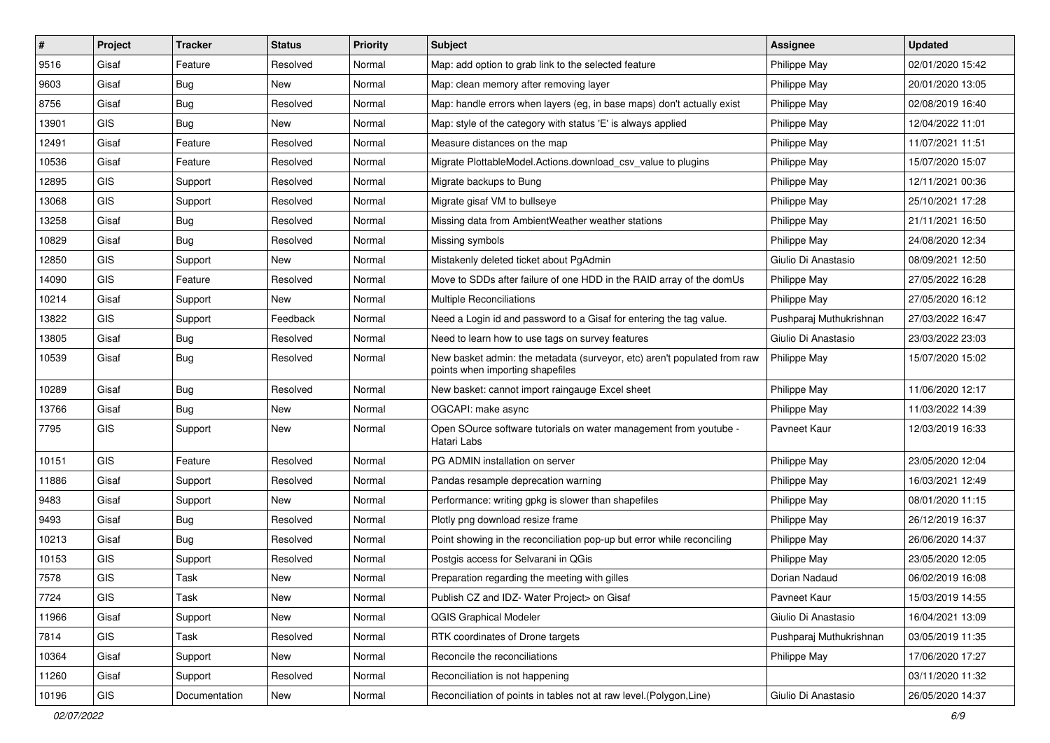| #     | Project    | <b>Tracker</b> | <b>Status</b> | <b>Priority</b> | Subject                                                                                                      | <b>Assignee</b>         | <b>Updated</b>   |
|-------|------------|----------------|---------------|-----------------|--------------------------------------------------------------------------------------------------------------|-------------------------|------------------|
| 9516  | Gisaf      | Feature        | Resolved      | Normal          | Map: add option to grab link to the selected feature                                                         | Philippe May            | 02/01/2020 15:42 |
| 9603  | Gisaf      | <b>Bug</b>     | New           | Normal          | Map: clean memory after removing layer                                                                       | Philippe May            | 20/01/2020 13:05 |
| 8756  | Gisaf      | Bug            | Resolved      | Normal          | Map: handle errors when layers (eg, in base maps) don't actually exist                                       | Philippe May            | 02/08/2019 16:40 |
| 13901 | GIS        | <b>Bug</b>     | <b>New</b>    | Normal          | Map: style of the category with status 'E' is always applied                                                 | Philippe May            | 12/04/2022 11:01 |
| 12491 | Gisaf      | Feature        | Resolved      | Normal          | Measure distances on the map                                                                                 | Philippe May            | 11/07/2021 11:51 |
| 10536 | Gisaf      | Feature        | Resolved      | Normal          | Migrate PlottableModel.Actions.download csv value to plugins                                                 | Philippe May            | 15/07/2020 15:07 |
| 12895 | GIS        | Support        | Resolved      | Normal          | Migrate backups to Bung                                                                                      | Philippe May            | 12/11/2021 00:36 |
| 13068 | GIS        | Support        | Resolved      | Normal          | Migrate gisaf VM to bullseye                                                                                 | Philippe May            | 25/10/2021 17:28 |
| 13258 | Gisaf      | Bug            | Resolved      | Normal          | Missing data from AmbientWeather weather stations                                                            | Philippe May            | 21/11/2021 16:50 |
| 10829 | Gisaf      | Bug            | Resolved      | Normal          | Missing symbols                                                                                              | Philippe May            | 24/08/2020 12:34 |
| 12850 | <b>GIS</b> | Support        | New           | Normal          | Mistakenly deleted ticket about PgAdmin                                                                      | Giulio Di Anastasio     | 08/09/2021 12:50 |
| 14090 | GIS        | Feature        | Resolved      | Normal          | Move to SDDs after failure of one HDD in the RAID array of the domUs                                         | Philippe May            | 27/05/2022 16:28 |
| 10214 | Gisaf      | Support        | <b>New</b>    | Normal          | <b>Multiple Reconciliations</b>                                                                              | Philippe May            | 27/05/2020 16:12 |
| 13822 | <b>GIS</b> | Support        | Feedback      | Normal          | Need a Login id and password to a Gisaf for entering the tag value.                                          | Pushparaj Muthukrishnan | 27/03/2022 16:47 |
| 13805 | Gisaf      | <b>Bug</b>     | Resolved      | Normal          | Need to learn how to use tags on survey features                                                             | Giulio Di Anastasio     | 23/03/2022 23:03 |
| 10539 | Gisaf      | Bug            | Resolved      | Normal          | New basket admin: the metadata (surveyor, etc) aren't populated from raw<br>points when importing shapefiles | Philippe May            | 15/07/2020 15:02 |
| 10289 | Gisaf      | Bug            | Resolved      | Normal          | New basket: cannot import raingauge Excel sheet                                                              | Philippe May            | 11/06/2020 12:17 |
| 13766 | Gisaf      | Bug            | New           | Normal          | OGCAPI: make async                                                                                           | Philippe May            | 11/03/2022 14:39 |
| 7795  | <b>GIS</b> | Support        | New           | Normal          | Open SOurce software tutorials on water management from youtube -<br>Hatari Labs                             | Pavneet Kaur            | 12/03/2019 16:33 |
| 10151 | <b>GIS</b> | Feature        | Resolved      | Normal          | PG ADMIN installation on server                                                                              | Philippe May            | 23/05/2020 12:04 |
| 11886 | Gisaf      | Support        | Resolved      | Normal          | Pandas resample deprecation warning                                                                          | Philippe May            | 16/03/2021 12:49 |
| 9483  | Gisaf      | Support        | New           | Normal          | Performance: writing gpkg is slower than shapefiles                                                          | Philippe May            | 08/01/2020 11:15 |
| 9493  | Gisaf      | Bug            | Resolved      | Normal          | Plotly png download resize frame                                                                             | Philippe May            | 26/12/2019 16:37 |
| 10213 | Gisaf      | Bug            | Resolved      | Normal          | Point showing in the reconciliation pop-up but error while reconciling                                       | Philippe May            | 26/06/2020 14:37 |
| 10153 | <b>GIS</b> | Support        | Resolved      | Normal          | Postgis access for Selvarani in QGis                                                                         | Philippe May            | 23/05/2020 12:05 |
| 7578  | <b>GIS</b> | Task           | New           | Normal          | Preparation regarding the meeting with gilles                                                                | Dorian Nadaud           | 06/02/2019 16:08 |
| 7724  | GIS        | Task           | New           | Normal          | Publish CZ and IDZ- Water Project> on Gisaf                                                                  | Pavneet Kaur            | 15/03/2019 14:55 |
| 11966 | Gisaf      | Support        | New           | Normal          | <b>QGIS Graphical Modeler</b>                                                                                | Giulio Di Anastasio     | 16/04/2021 13:09 |
| 7814  | GIS        | Task           | Resolved      | Normal          | RTK coordinates of Drone targets                                                                             | Pushparaj Muthukrishnan | 03/05/2019 11:35 |
| 10364 | Gisaf      | Support        | New           | Normal          | Reconcile the reconciliations                                                                                | Philippe May            | 17/06/2020 17:27 |
| 11260 | Gisaf      | Support        | Resolved      | Normal          | Reconciliation is not happening                                                                              |                         | 03/11/2020 11:32 |
| 10196 | GIS        | Documentation  | New           | Normal          | Reconciliation of points in tables not at raw level.(Polygon,Line)                                           | Giulio Di Anastasio     | 26/05/2020 14:37 |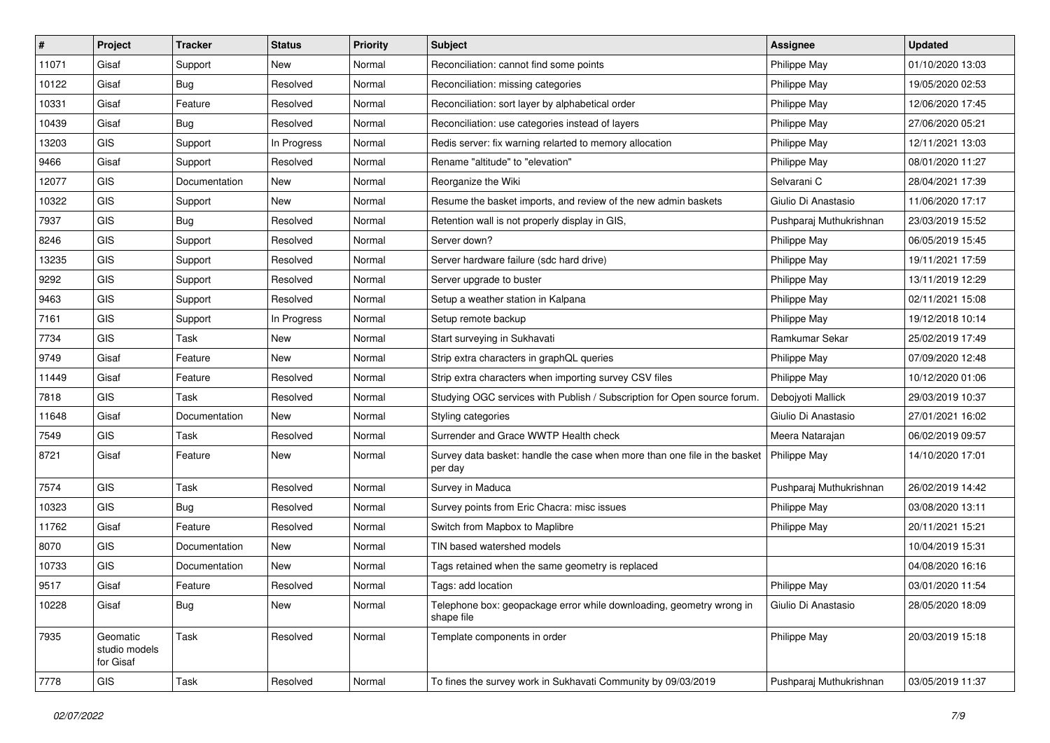| #     | Project                                | <b>Tracker</b> | <b>Status</b> | Priority | Subject                                                                              | <b>Assignee</b>         | <b>Updated</b>   |
|-------|----------------------------------------|----------------|---------------|----------|--------------------------------------------------------------------------------------|-------------------------|------------------|
| 11071 | Gisaf                                  | Support        | New           | Normal   | Reconciliation: cannot find some points                                              | Philippe May            | 01/10/2020 13:03 |
| 10122 | Gisaf                                  | <b>Bug</b>     | Resolved      | Normal   | Reconciliation: missing categories                                                   | Philippe May            | 19/05/2020 02:53 |
| 10331 | Gisaf                                  | Feature        | Resolved      | Normal   | Reconciliation: sort layer by alphabetical order                                     | Philippe May            | 12/06/2020 17:45 |
| 10439 | Gisaf                                  | <b>Bug</b>     | Resolved      | Normal   | Reconciliation: use categories instead of layers                                     | Philippe May            | 27/06/2020 05:21 |
| 13203 | <b>GIS</b>                             | Support        | In Progress   | Normal   | Redis server: fix warning relarted to memory allocation                              | Philippe May            | 12/11/2021 13:03 |
| 9466  | Gisaf                                  | Support        | Resolved      | Normal   | Rename "altitude" to "elevation"                                                     | Philippe May            | 08/01/2020 11:27 |
| 12077 | <b>GIS</b>                             | Documentation  | New           | Normal   | Reorganize the Wiki                                                                  | Selvarani C             | 28/04/2021 17:39 |
| 10322 | <b>GIS</b>                             | Support        | New           | Normal   | Resume the basket imports, and review of the new admin baskets                       | Giulio Di Anastasio     | 11/06/2020 17:17 |
| 7937  | GIS                                    | <b>Bug</b>     | Resolved      | Normal   | Retention wall is not properly display in GIS,                                       | Pushparaj Muthukrishnan | 23/03/2019 15:52 |
| 8246  | GIS                                    | Support        | Resolved      | Normal   | Server down?                                                                         | Philippe May            | 06/05/2019 15:45 |
| 13235 | <b>GIS</b>                             | Support        | Resolved      | Normal   | Server hardware failure (sdc hard drive)                                             | Philippe May            | 19/11/2021 17:59 |
| 9292  | GIS                                    | Support        | Resolved      | Normal   | Server upgrade to buster                                                             | Philippe May            | 13/11/2019 12:29 |
| 9463  | <b>GIS</b>                             | Support        | Resolved      | Normal   | Setup a weather station in Kalpana                                                   | Philippe May            | 02/11/2021 15:08 |
| 7161  | GIS                                    | Support        | In Progress   | Normal   | Setup remote backup                                                                  | Philippe May            | 19/12/2018 10:14 |
| 7734  | <b>GIS</b>                             | Task           | <b>New</b>    | Normal   | Start surveying in Sukhavati                                                         | Ramkumar Sekar          | 25/02/2019 17:49 |
| 9749  | Gisaf                                  | Feature        | <b>New</b>    | Normal   | Strip extra characters in graphQL queries                                            | Philippe May            | 07/09/2020 12:48 |
| 11449 | Gisaf                                  | Feature        | Resolved      | Normal   | Strip extra characters when importing survey CSV files                               | Philippe May            | 10/12/2020 01:06 |
| 7818  | <b>GIS</b>                             | Task           | Resolved      | Normal   | Studying OGC services with Publish / Subscription for Open source forum.             | Debojyoti Mallick       | 29/03/2019 10:37 |
| 11648 | Gisaf                                  | Documentation  | New           | Normal   | Styling categories                                                                   | Giulio Di Anastasio     | 27/01/2021 16:02 |
| 7549  | <b>GIS</b>                             | Task           | Resolved      | Normal   | Surrender and Grace WWTP Health check                                                | Meera Natarajan         | 06/02/2019 09:57 |
| 8721  | Gisaf                                  | Feature        | New           | Normal   | Survey data basket: handle the case when more than one file in the basket<br>per day | Philippe May            | 14/10/2020 17:01 |
| 7574  | GIS                                    | Task           | Resolved      | Normal   | Survey in Maduca                                                                     | Pushparaj Muthukrishnan | 26/02/2019 14:42 |
| 10323 | <b>GIS</b>                             | <b>Bug</b>     | Resolved      | Normal   | Survey points from Eric Chacra: misc issues                                          | Philippe May            | 03/08/2020 13:11 |
| 11762 | Gisaf                                  | Feature        | Resolved      | Normal   | Switch from Mapbox to Maplibre                                                       | Philippe May            | 20/11/2021 15:21 |
| 8070  | <b>GIS</b>                             | Documentation  | <b>New</b>    | Normal   | TIN based watershed models                                                           |                         | 10/04/2019 15:31 |
| 10733 | GIS                                    | Documentation  | New           | Normal   | Tags retained when the same geometry is replaced                                     |                         | 04/08/2020 16:16 |
| 9517  | Gisaf                                  | Feature        | Resolved      | Normal   | Tags: add location                                                                   | Philippe May            | 03/01/2020 11:54 |
| 10228 | Gisaf                                  | <b>Bug</b>     | New           | Normal   | Telephone box: geopackage error while downloading, geometry wrong in<br>shape file   | Giulio Di Anastasio     | 28/05/2020 18:09 |
| 7935  | Geomatic<br>studio models<br>for Gisaf | Task           | Resolved      | Normal   | Template components in order                                                         | Philippe May            | 20/03/2019 15:18 |
| 7778  | GIS                                    | Task           | Resolved      | Normal   | To fines the survey work in Sukhavati Community by 09/03/2019                        | Pushparaj Muthukrishnan | 03/05/2019 11:37 |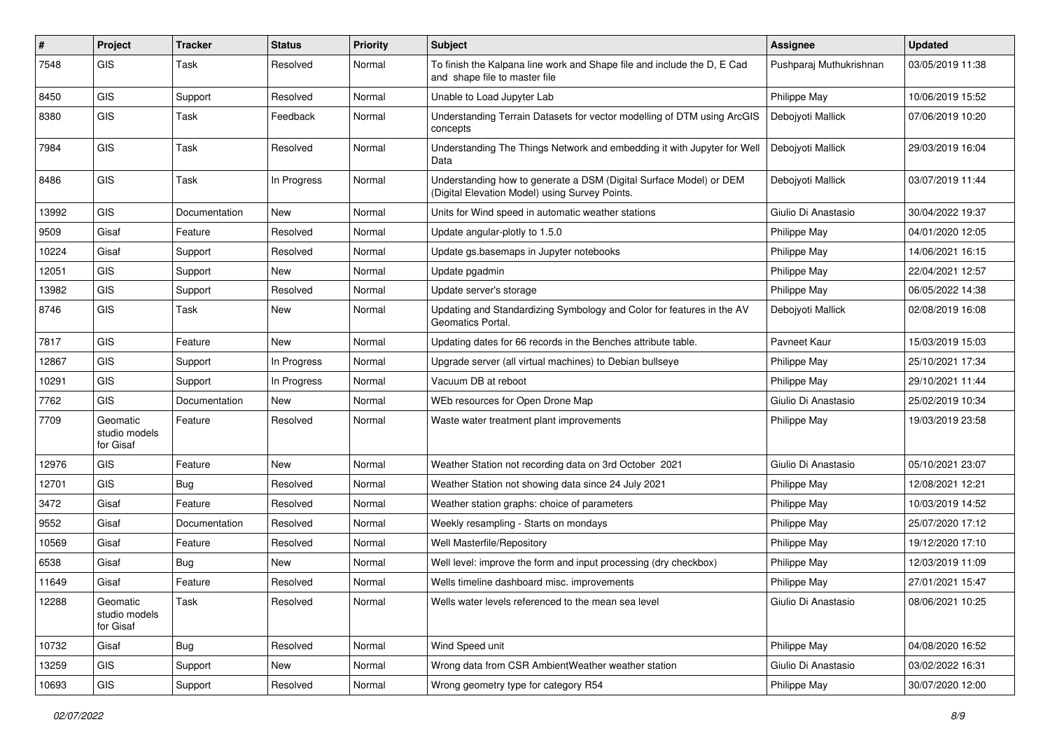| #     | Project                                | <b>Tracker</b> | <b>Status</b> | <b>Priority</b> | Subject                                                                                                              | Assignee                | <b>Updated</b>   |
|-------|----------------------------------------|----------------|---------------|-----------------|----------------------------------------------------------------------------------------------------------------------|-------------------------|------------------|
| 7548  | GIS                                    | Task           | Resolved      | Normal          | To finish the Kalpana line work and Shape file and include the D, E Cad<br>and shape file to master file             | Pushparaj Muthukrishnan | 03/05/2019 11:38 |
| 8450  | <b>GIS</b>                             | Support        | Resolved      | Normal          | Unable to Load Jupyter Lab                                                                                           | Philippe May            | 10/06/2019 15:52 |
| 8380  | GIS                                    | Task           | Feedback      | Normal          | Understanding Terrain Datasets for vector modelling of DTM using ArcGIS<br>concepts                                  | Debojyoti Mallick       | 07/06/2019 10:20 |
| 7984  | GIS                                    | <b>Task</b>    | Resolved      | Normal          | Understanding The Things Network and embedding it with Jupyter for Well<br>Data                                      | Debojyoti Mallick       | 29/03/2019 16:04 |
| 8486  | GIS                                    | <b>Task</b>    | In Progress   | Normal          | Understanding how to generate a DSM (Digital Surface Model) or DEM<br>(Digital Elevation Model) using Survey Points. | Debojyoti Mallick       | 03/07/2019 11:44 |
| 13992 | <b>GIS</b>                             | Documentation  | <b>New</b>    | Normal          | Units for Wind speed in automatic weather stations                                                                   | Giulio Di Anastasio     | 30/04/2022 19:37 |
| 9509  | Gisaf                                  | Feature        | Resolved      | Normal          | Update angular-plotly to 1.5.0                                                                                       | Philippe May            | 04/01/2020 12:05 |
| 10224 | Gisaf                                  | Support        | Resolved      | Normal          | Update gs.basemaps in Jupyter notebooks                                                                              | Philippe May            | 14/06/2021 16:15 |
| 12051 | GIS                                    | Support        | <b>New</b>    | Normal          | Update pgadmin                                                                                                       | Philippe May            | 22/04/2021 12:57 |
| 13982 | <b>GIS</b>                             | Support        | Resolved      | Normal          | Update server's storage                                                                                              | Philippe May            | 06/05/2022 14:38 |
| 8746  | GIS                                    | Task           | New           | Normal          | Updating and Standardizing Symbology and Color for features in the AV<br>Geomatics Portal.                           | Debojyoti Mallick       | 02/08/2019 16:08 |
| 7817  | GIS                                    | Feature        | New           | Normal          | Updating dates for 66 records in the Benches attribute table.                                                        | Pavneet Kaur            | 15/03/2019 15:03 |
| 12867 | GIS                                    | Support        | In Progress   | Normal          | Upgrade server (all virtual machines) to Debian bullseye                                                             | Philippe May            | 25/10/2021 17:34 |
| 10291 | GIS                                    | Support        | In Progress   | Normal          | Vacuum DB at reboot                                                                                                  | Philippe May            | 29/10/2021 11:44 |
| 7762  | GIS                                    | Documentation  | New           | Normal          | WEb resources for Open Drone Map                                                                                     | Giulio Di Anastasio     | 25/02/2019 10:34 |
| 7709  | Geomatic<br>studio models<br>for Gisaf | Feature        | Resolved      | Normal          | Waste water treatment plant improvements                                                                             | Philippe May            | 19/03/2019 23:58 |
| 12976 | GIS                                    | Feature        | <b>New</b>    | Normal          | Weather Station not recording data on 3rd October 2021                                                               | Giulio Di Anastasio     | 05/10/2021 23:07 |
| 12701 | GIS                                    | Bug            | Resolved      | Normal          | Weather Station not showing data since 24 July 2021                                                                  | Philippe May            | 12/08/2021 12:21 |
| 3472  | Gisaf                                  | Feature        | Resolved      | Normal          | Weather station graphs: choice of parameters                                                                         | Philippe May            | 10/03/2019 14:52 |
| 9552  | Gisaf                                  | Documentation  | Resolved      | Normal          | Weekly resampling - Starts on mondays                                                                                | Philippe May            | 25/07/2020 17:12 |
| 10569 | Gisaf                                  | Feature        | Resolved      | Normal          | Well Masterfile/Repository                                                                                           | Philippe May            | 19/12/2020 17:10 |
| 6538  | Gisaf                                  | <b>Bug</b>     | <b>New</b>    | Normal          | Well level: improve the form and input processing (dry checkbox)                                                     | Philippe May            | 12/03/2019 11:09 |
| 11649 | Gisaf                                  | Feature        | Resolved      | Normal          | Wells timeline dashboard misc. improvements                                                                          | Philippe May            | 27/01/2021 15:47 |
| 12288 | Geomatic<br>studio models<br>for Gisaf | Task           | Resolved      | Normal          | Wells water levels referenced to the mean sea level                                                                  | Giulio Di Anastasio     | 08/06/2021 10:25 |
| 10732 | Gisaf                                  | <b>Bug</b>     | Resolved      | Normal          | Wind Speed unit                                                                                                      | Philippe May            | 04/08/2020 16:52 |
| 13259 | GIS                                    | Support        | New           | Normal          | Wrong data from CSR AmbientWeather weather station                                                                   | Giulio Di Anastasio     | 03/02/2022 16:31 |
| 10693 | GIS                                    | Support        | Resolved      | Normal          | Wrong geometry type for category R54                                                                                 | Philippe May            | 30/07/2020 12:00 |